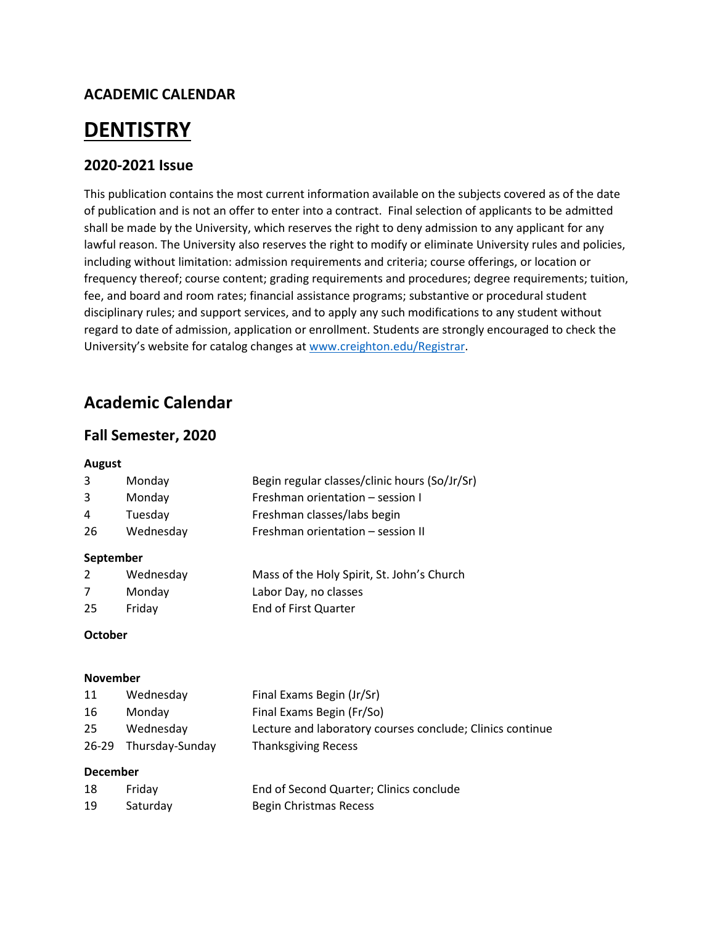## **ACADEMIC CALENDAR**

# **DENTISTRY**

## **2020-2021 Issue**

This publication contains the most current information available on the subjects covered as of the date of publication and is not an offer to enter into a contract. Final selection of applicants to be admitted shall be made by the University, which reserves the right to deny admission to any applicant for any lawful reason. The University also reserves the right to modify or eliminate University rules and policies, including without limitation: admission requirements and criteria; course offerings, or location or frequency thereof; course content; grading requirements and procedures; degree requirements; tuition, fee, and board and room rates; financial assistance programs; substantive or procedural student disciplinary rules; and support services, and to apply any such modifications to any student without regard to date of admission, application or enrollment. Students are strongly encouraged to check the University's website for catalog changes at [www.creighton.edu/Registrar.](http://www.creighton.edu/Registrar)

## **Academic Calendar**

### **Fall Semester, 2020**

#### **August**

|   | Monday  | Begin regular classes/clinic hours (So/Jr/Sr) |
|---|---------|-----------------------------------------------|
| 3 | Monday  | Freshman orientation – session I              |
| 4 | Tuesday | Freshman classes/labs begin                   |

26 Wednesday Freshman orientation – session II

#### **September**

|     | Wednesday | Mass of the Holy Spirit, St. John's Church |
|-----|-----------|--------------------------------------------|
|     | Monday    | Labor Day, no classes                      |
| -25 | Friday    | End of First Quarter                       |

#### **October**

#### **November**

| 11 | Wednesday             | Final Exams Begin (Jr/Sr)                                 |
|----|-----------------------|-----------------------------------------------------------|
| 16 | Mondav                | Final Exams Begin (Fr/So)                                 |
| 25 | Wednesday             | Lecture and laboratory courses conclude; Clinics continue |
|    | 26-29 Thursday-Sunday | <b>Thanksgiving Recess</b>                                |

#### **December**

| 18 | Fridav   | End of Second Quarter; Clinics conclude |
|----|----------|-----------------------------------------|
| 19 | Saturday | Begin Christmas Recess                  |